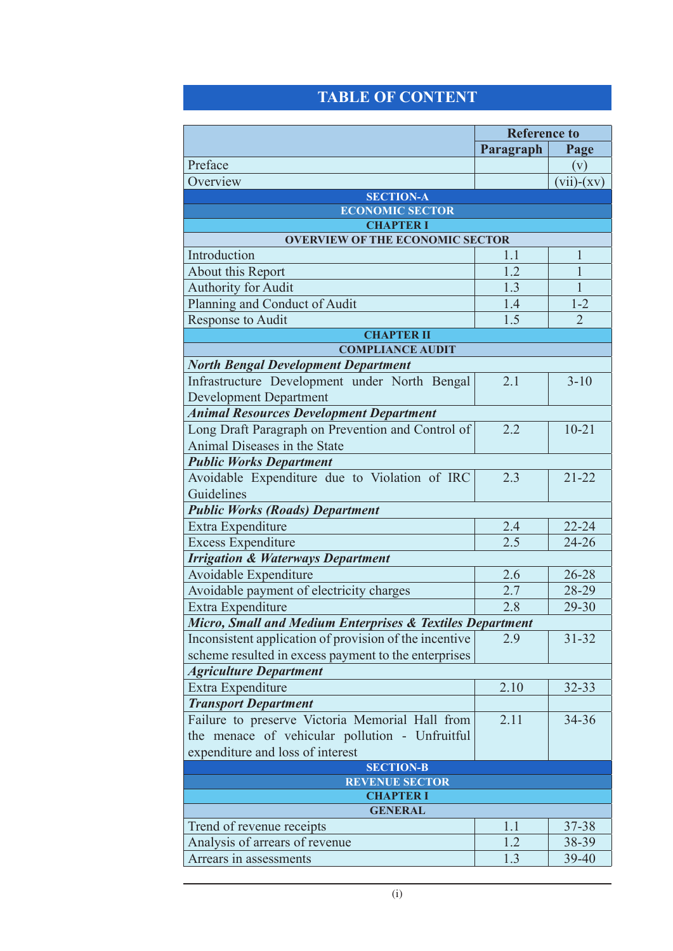## **Table of Content**

|                                                           | <b>Reference to</b> |                |  |  |
|-----------------------------------------------------------|---------------------|----------------|--|--|
|                                                           | Paragraph           | Page           |  |  |
| Preface                                                   |                     | (v)            |  |  |
| Overview                                                  |                     | $(vii)-(xv)$   |  |  |
| <b>SECTION-A</b>                                          |                     |                |  |  |
| <b>ECONOMIC SECTOR</b>                                    |                     |                |  |  |
| <b>CHAPTER I</b>                                          |                     |                |  |  |
| <b>OVERVIEW OF THE ECONOMIC SECTOR</b>                    |                     |                |  |  |
| Introduction                                              | 1.1<br>1.2          | 1              |  |  |
| About this Report                                         |                     | $\mathbf{1}$   |  |  |
| <b>Authority for Audit</b>                                | 1.3                 | 1              |  |  |
| Planning and Conduct of Audit                             | 1.4                 | $1 - 2$        |  |  |
| Response to Audit                                         | 1.5                 | $\overline{2}$ |  |  |
| <b>CHAPTER II</b><br><b>COMPLIANCE AUDIT</b>              |                     |                |  |  |
| <b>North Bengal Development Department</b>                |                     |                |  |  |
| Infrastructure Development under North Bengal             | 2.1                 | $3 - 10$       |  |  |
| <b>Development Department</b>                             |                     |                |  |  |
| <b>Animal Resources Development Department</b>            |                     |                |  |  |
| Long Draft Paragraph on Prevention and Control of         | 2.2                 | $10 - 21$      |  |  |
| Animal Diseases in the State                              |                     |                |  |  |
| <b>Public Works Department</b>                            |                     |                |  |  |
| Avoidable Expenditure due to Violation of IRC             | 2.3                 | $21 - 22$      |  |  |
| Guidelines                                                |                     |                |  |  |
| <b>Public Works (Roads) Department</b>                    |                     |                |  |  |
| Extra Expenditure                                         | 2.4                 | $22 - 24$      |  |  |
| <b>Excess Expenditure</b>                                 | 2.5                 | $24 - 26$      |  |  |
| <b>Irrigation &amp; Waterways Department</b>              |                     |                |  |  |
| Avoidable Expenditure                                     | 2.6                 | 26-28          |  |  |
| Avoidable payment of electricity charges                  | 2.7                 | 28-29          |  |  |
| Extra Expenditure                                         | 2.8                 | 29-30          |  |  |
| Micro, Small and Medium Enterprises & Textiles Department |                     |                |  |  |
| Inconsistent application of provision of the incentive    | 2.9                 | $31 - 32$      |  |  |
| scheme resulted in excess payment to the enterprises      |                     |                |  |  |
| <b>Agriculture Department</b>                             |                     |                |  |  |
| Extra Expenditure                                         | 2.10                | 32-33          |  |  |
| <b>Transport Department</b>                               |                     |                |  |  |
| Failure to preserve Victoria Memorial Hall from           | 2.11                | 34-36          |  |  |
| the menace of vehicular pollution - Unfruitful            |                     |                |  |  |
| expenditure and loss of interest                          |                     |                |  |  |
| <b>SECTION-B</b>                                          |                     |                |  |  |
| <b>REVENUE SECTOR</b>                                     |                     |                |  |  |
| <b>CHAPTER I</b>                                          |                     |                |  |  |
| <b>GENERAL</b>                                            |                     |                |  |  |
| Trend of revenue receipts                                 | 1.1                 | 37-38          |  |  |
| Analysis of arrears of revenue                            | 1.2                 | 38-39          |  |  |
| Arrears in assessments                                    | 1.3                 | 39-40          |  |  |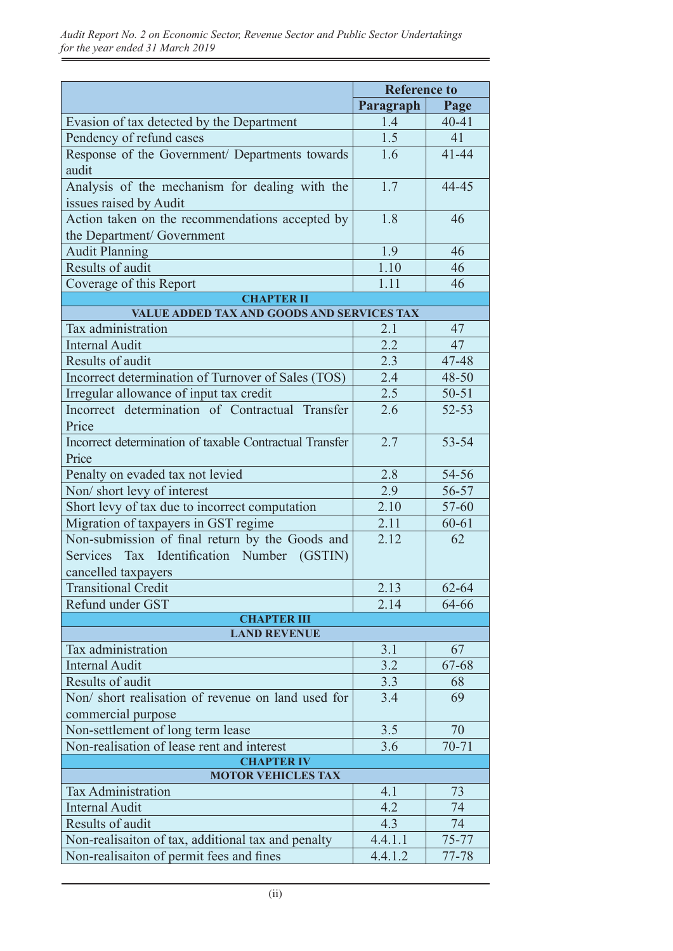|                                                                               | <b>Reference to</b> |           |  |  |
|-------------------------------------------------------------------------------|---------------------|-----------|--|--|
|                                                                               | Paragraph           | Page      |  |  |
| Evasion of tax detected by the Department                                     | 1.4                 | $40 - 41$ |  |  |
| Pendency of refund cases                                                      | 1.5                 | 41        |  |  |
| Response of the Government/ Departments towards<br>audit                      | 1.6                 | $41 - 44$ |  |  |
| Analysis of the mechanism for dealing with the<br>issues raised by Audit      | 1.7                 | 44-45     |  |  |
| Action taken on the recommendations accepted by<br>the Department/ Government | 1.8                 | 46        |  |  |
| <b>Audit Planning</b>                                                         | 1.9                 | 46        |  |  |
| Results of audit                                                              | 1.10                | 46        |  |  |
| Coverage of this Report                                                       | 1.11                | 46        |  |  |
| <b>CHAPTER II</b>                                                             |                     |           |  |  |
| VALUE ADDED TAX AND GOODS AND SERVICES TAX                                    |                     |           |  |  |
| Tax administration                                                            | 2.1                 | 47        |  |  |
| <b>Internal Audit</b>                                                         | 2.2                 | 47        |  |  |
| Results of audit                                                              | 2.3                 | 47-48     |  |  |
| Incorrect determination of Turnover of Sales (TOS)                            | 2.4                 | 48-50     |  |  |
| Irregular allowance of input tax credit                                       | 2.5                 | $50 - 51$ |  |  |
| Incorrect determination of Contractual Transfer<br>Price                      | 2.6                 | $52 - 53$ |  |  |
| Incorrect determination of taxable Contractual Transfer<br>Price              | 2.7                 | 53-54     |  |  |
| Penalty on evaded tax not levied                                              | 2.8                 | 54-56     |  |  |
| Non/short levy of interest                                                    | 2.9                 | 56-57     |  |  |
| Short levy of tax due to incorrect computation                                | 2.10                | $57 - 60$ |  |  |
| Migration of taxpayers in GST regime                                          | 2.11                | $60 - 61$ |  |  |
| Non-submission of final return by the Goods and                               | 2.12                | 62        |  |  |
| Services Tax Identification Number (GSTIN)<br>cancelled taxpayers             |                     |           |  |  |
| <b>Transitional Credit</b>                                                    | 2.13                | 62-64     |  |  |
| Refund under GST                                                              | 2.14                | 64-66     |  |  |
| <b>CHAPTER III</b>                                                            |                     |           |  |  |
| <b>LAND REVENUE</b>                                                           |                     |           |  |  |
| Tax administration                                                            | 3.1                 | 67        |  |  |
| <b>Internal Audit</b>                                                         | 3.2                 | 67-68     |  |  |
| Results of audit                                                              | 3.3                 | 68        |  |  |
| Non/ short realisation of revenue on land used for<br>commercial purpose      | 3.4                 | 69        |  |  |
| Non-settlement of long term lease                                             | 3.5                 | 70        |  |  |
| Non-realisation of lease rent and interest                                    | 3.6                 | $70 - 71$ |  |  |
| <b>CHAPTER IV</b>                                                             |                     |           |  |  |
| <b>MOTOR VEHICLES TAX</b>                                                     |                     |           |  |  |
| <b>Tax Administration</b>                                                     | 4.1                 | 73        |  |  |
| <b>Internal Audit</b>                                                         | 4.2                 | 74        |  |  |
| Results of audit                                                              | 4.3                 | 74        |  |  |
| Non-realisaiton of tax, additional tax and penalty                            | 4.4.1.1             | $75 - 77$ |  |  |
| Non-realisaiton of permit fees and fines                                      | 4.4.1.2             | 77-78     |  |  |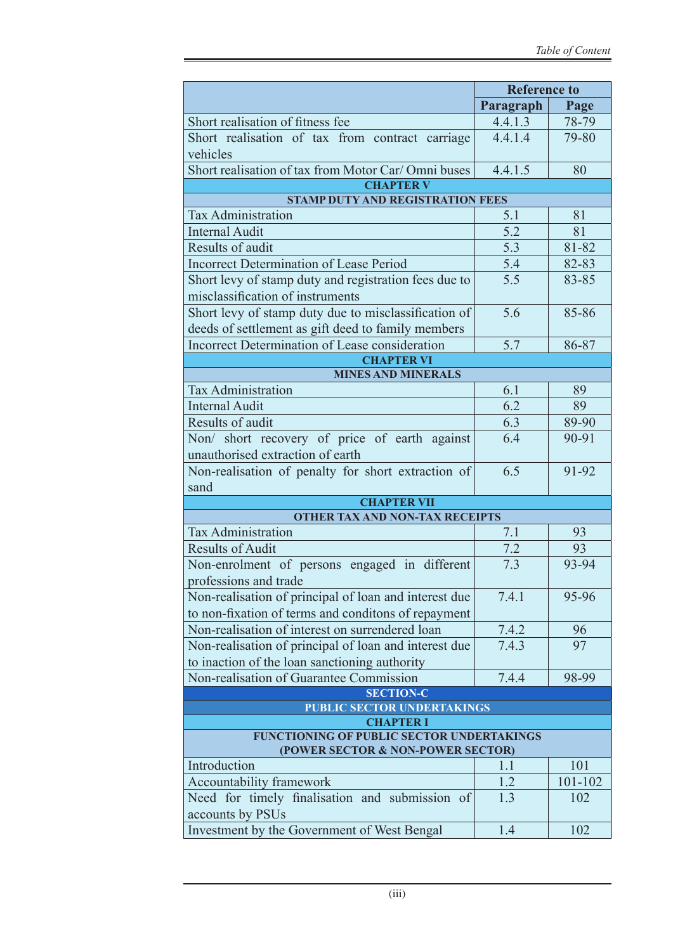|                                                                    | <b>Reference to</b> |         |  |
|--------------------------------------------------------------------|---------------------|---------|--|
|                                                                    | Paragraph           | Page    |  |
| Short realisation of fitness fee                                   | 4.4.1.3             | 78-79   |  |
| Short realisation of tax from contract carriage                    | 4.4.1.4             | 79-80   |  |
| vehicles                                                           |                     |         |  |
| Short realisation of tax from Motor Car/Omni buses                 | 4.4.1.5             | 80      |  |
| <b>CHAPTER V</b>                                                   |                     |         |  |
| <b>STAMP DUTY AND REGISTRATION FEES</b>                            |                     |         |  |
| <b>Tax Administration</b>                                          | 5.1                 | 81      |  |
| <b>Internal Audit</b>                                              | 5.2                 | 81      |  |
| Results of audit                                                   | 5.3                 | 81-82   |  |
| <b>Incorrect Determination of Lease Period</b>                     | 5.4                 | 82-83   |  |
| Short levy of stamp duty and registration fees due to              | 5.5                 | 83-85   |  |
| misclassification of instruments                                   |                     |         |  |
| Short levy of stamp duty due to misclassification of               | 5.6                 | 85-86   |  |
| deeds of settlement as gift deed to family members                 |                     |         |  |
| Incorrect Determination of Lease consideration                     | 5.7                 | 86-87   |  |
| <b>CHAPTER VI</b>                                                  |                     |         |  |
| <b>MINES AND MINERALS</b>                                          |                     |         |  |
| <b>Tax Administration</b>                                          | 6.1                 | 89      |  |
| <b>Internal Audit</b>                                              | 6.2                 | 89      |  |
| Results of audit                                                   | 6.3                 | 89-90   |  |
| Non/ short recovery of price of earth against                      | 6.4                 | 90-91   |  |
| unauthorised extraction of earth                                   |                     |         |  |
| Non-realisation of penalty for short extraction of                 | 6.5                 | 91-92   |  |
| sand                                                               |                     |         |  |
| <b>CHAPTER VII</b>                                                 |                     |         |  |
| <b>OTHER TAX AND NON-TAX RECEIPTS</b><br><b>Tax Administration</b> |                     |         |  |
| <b>Results of Audit</b>                                            | 7.1                 | 93      |  |
|                                                                    | 7.2                 | 93      |  |
| Non-enrolment of persons engaged in different                      | 7.3                 | 93-94   |  |
| professions and trade                                              |                     |         |  |
| Non-realisation of principal of loan and interest due              | 7.4.1               | 95-96   |  |
| to non-fixation of terms and conditons of repayment                |                     |         |  |
| Non-realisation of interest on surrendered loan                    | 7.4.2               | 96      |  |
| Non-realisation of principal of loan and interest due              | 7.4.3               | 97      |  |
| to inaction of the loan sanctioning authority                      |                     |         |  |
| Non-realisation of Guarantee Commission                            | 7.4.4               | 98-99   |  |
| <b>SECTION-C</b><br>PUBLIC SECTOR UNDERTAKINGS                     |                     |         |  |
| <b>CHAPTER I</b>                                                   |                     |         |  |
| FUNCTIONING OF PUBLIC SECTOR UNDERTAKINGS                          |                     |         |  |
| (POWER SECTOR & NON-POWER SECTOR)                                  |                     |         |  |
| Introduction                                                       | 1.1                 | 101     |  |
| Accountability framework                                           | 1.2                 | 101-102 |  |
| Need for timely finalisation and submission of                     | 1.3                 | 102     |  |
| accounts by PSUs                                                   |                     |         |  |
| Investment by the Government of West Bengal                        | 1.4                 | 102     |  |